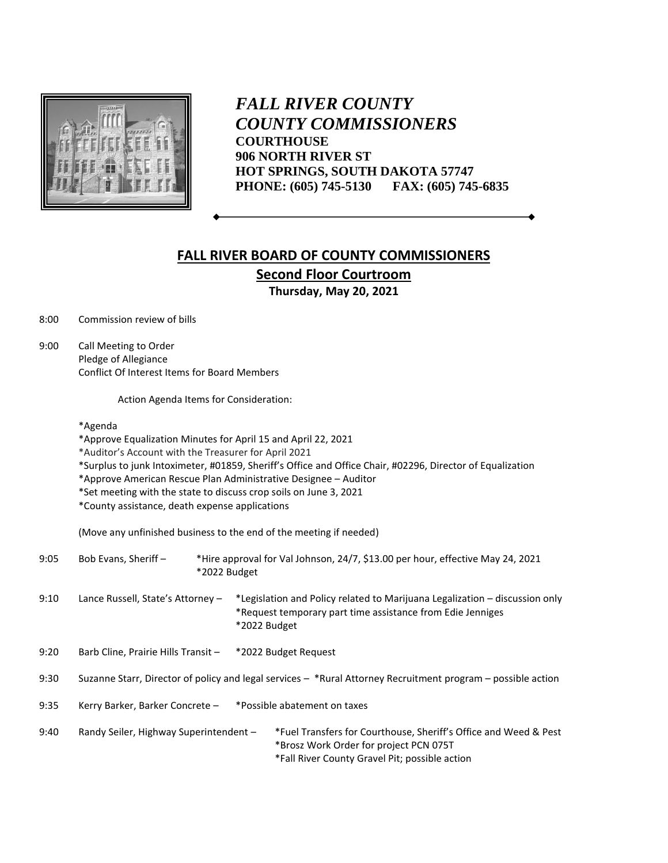

*FALL RIVER COUNTY COUNTY COMMISSIONERS* **COURTHOUSE 906 NORTH RIVER ST HOT SPRINGS, SOUTH DAKOTA 57747 PHONE: (605) 745-5130 FAX: (605) 745-6835**

## **FALL RIVER BOARD OF COUNTY COMMISSIONERS Second Floor Courtroom Thursday, May 20, 2021**

8:00 Commission review of bills

9:00 Call Meeting to Order Pledge of Allegiance Conflict Of Interest Items for Board Members

Action Agenda Items for Consideration:

\*Agenda

\*Approve Equalization Minutes for April 15 and April 22, 2021

\*Auditor's Account with the Treasurer for April 2021

\*Surplus to junk Intoximeter, #01859, Sheriff's Office and Office Chair, #02296, Director of Equalization

\*Approve American Rescue Plan Administrative Designee – Auditor

\*Set meeting with the state to discuss crop soils on June 3, 2021

\*County assistance, death expense applications

(Move any unfinished business to the end of the meeting if needed)

| 9:05 | Bob Evans, Sheriff -                                                                                           | *2022 Budget |                                                                                                                                                           | *Hire approval for Val Johnson, 24/7, \$13.00 per hour, effective May 24, 2021                                                                               |
|------|----------------------------------------------------------------------------------------------------------------|--------------|-----------------------------------------------------------------------------------------------------------------------------------------------------------|--------------------------------------------------------------------------------------------------------------------------------------------------------------|
| 9:10 | Lance Russell, State's Attorney -                                                                              |              | *Legislation and Policy related to Marijuana Legalization – discussion only<br>*Request temporary part time assistance from Edie Jenniges<br>*2022 Budget |                                                                                                                                                              |
| 9:20 | Barb Cline, Prairie Hills Transit -                                                                            |              | *2022 Budget Request                                                                                                                                      |                                                                                                                                                              |
| 9:30 | Suzanne Starr, Director of policy and legal services $-$ *Rural Attorney Recruitment program – possible action |              |                                                                                                                                                           |                                                                                                                                                              |
| 9:35 | Kerry Barker, Barker Concrete -<br>*Possible abatement on taxes                                                |              |                                                                                                                                                           |                                                                                                                                                              |
| 9:40 | Randy Seiler, Highway Superintendent -                                                                         |              |                                                                                                                                                           | *Fuel Transfers for Courthouse, Sheriff's Office and Weed & Pest<br>*Brosz Work Order for project PCN 075T<br>*Fall River County Gravel Pit; possible action |